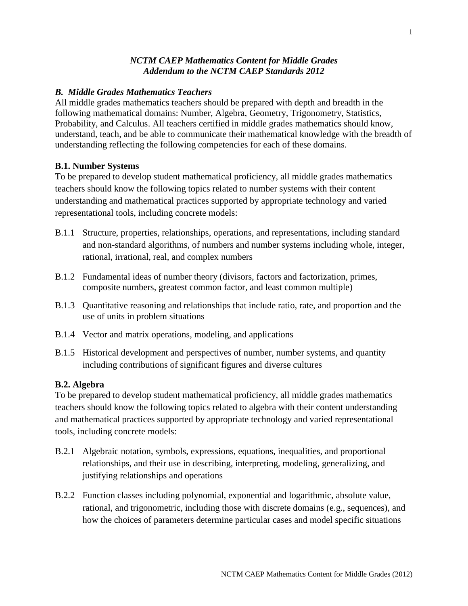### *NCTM CAEP Mathematics Content for Middle Grades Addendum to the NCTM CAEP Standards 2012*

# *B. Middle Grades Mathematics Teachers*

All middle grades mathematics teachers should be prepared with depth and breadth in the following mathematical domains: Number, Algebra, Geometry, Trigonometry, Statistics, Probability, and Calculus. All teachers certified in middle grades mathematics should know, understand, teach, and be able to communicate their mathematical knowledge with the breadth of understanding reflecting the following competencies for each of these domains.

## **B.1. Number Systems**

To be prepared to develop student mathematical proficiency, all middle grades mathematics teachers should know the following topics related to number systems with their content understanding and mathematical practices supported by appropriate technology and varied representational tools, including concrete models:

- B.1.1 Structure, properties, relationships, operations, and representations, including standard and non-standard algorithms, of numbers and number systems including whole, integer, rational, irrational, real, and complex numbers
- B.1.2 Fundamental ideas of number theory (divisors, factors and factorization, primes, composite numbers, greatest common factor, and least common multiple)
- B.1.3 Quantitative reasoning and relationships that include ratio, rate, and proportion and the use of units in problem situations
- B.1.4 Vector and matrix operations, modeling, and applications
- B.1.5 Historical development and perspectives of number, number systems, and quantity including contributions of significant figures and diverse cultures

### **B.2. Algebra**

To be prepared to develop student mathematical proficiency, all middle grades mathematics teachers should know the following topics related to algebra with their content understanding and mathematical practices supported by appropriate technology and varied representational tools, including concrete models:

- B.2.1 Algebraic notation, symbols, expressions, equations, inequalities, and proportional relationships, and their use in describing, interpreting, modeling, generalizing, and justifying relationships and operations
- B.2.2 Function classes including polynomial, exponential and logarithmic, absolute value, rational, and trigonometric, including those with discrete domains (e.g., sequences), and how the choices of parameters determine particular cases and model specific situations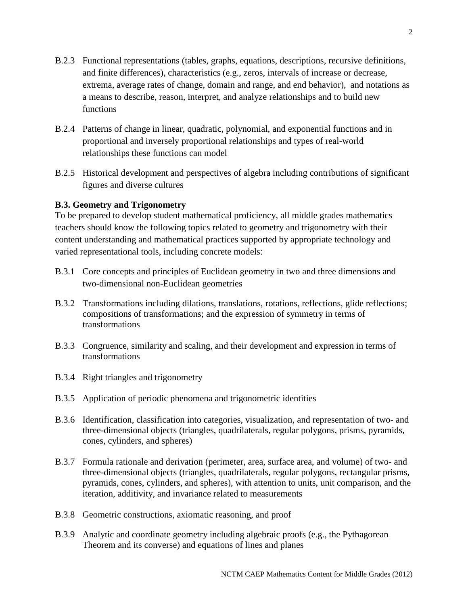- B.2.3 Functional representations (tables, graphs, equations, descriptions, recursive definitions, and finite differences), characteristics (e.g., zeros, intervals of increase or decrease, extrema, average rates of change, domain and range, and end behavior), and notations as a means to describe, reason, interpret, and analyze relationships and to build new functions
- B.2.4 Patterns of change in linear, quadratic, polynomial, and exponential functions and in proportional and inversely proportional relationships and types of real-world relationships these functions can model
- B.2.5 Historical development and perspectives of algebra including contributions of significant figures and diverse cultures

## **B.3. Geometry and Trigonometry**

To be prepared to develop student mathematical proficiency, all middle grades mathematics teachers should know the following topics related to geometry and trigonometry with their content understanding and mathematical practices supported by appropriate technology and varied representational tools, including concrete models:

- B.3.1 Core concepts and principles of Euclidean geometry in two and three dimensions and two-dimensional non-Euclidean geometries
- B.3.2 Transformations including dilations, translations, rotations, reflections, glide reflections; compositions of transformations; and the expression of symmetry in terms of transformations
- B.3.3 Congruence, similarity and scaling, and their development and expression in terms of transformations
- B.3.4 Right triangles and trigonometry
- B.3.5 Application of periodic phenomena and trigonometric identities
- B.3.6 Identification, classification into categories, visualization, and representation of two- and three-dimensional objects (triangles, quadrilaterals, regular polygons, prisms, pyramids, cones, cylinders, and spheres)
- B.3.7 Formula rationale and derivation (perimeter, area, surface area, and volume) of two- and three-dimensional objects (triangles, quadrilaterals, regular polygons, rectangular prisms, pyramids, cones, cylinders, and spheres), with attention to units, unit comparison, and the iteration, additivity, and invariance related to measurements
- B.3.8 Geometric constructions, axiomatic reasoning, and proof
- B.3.9 Analytic and coordinate geometry including algebraic proofs (e.g., the Pythagorean Theorem and its converse) and equations of lines and planes